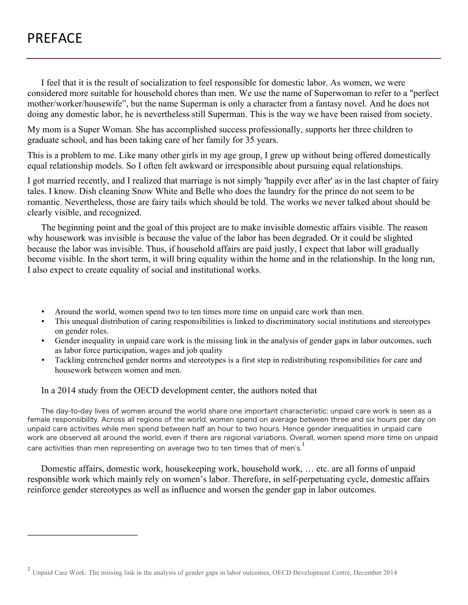## PREFACE

I feel that it is the result of socialization to feel responsible for domestic labor. As women, we were considered more suitable for household chores than men. We use the name of Superwoman to refer to a "perfect mother/worker/housewife", but the name Superman is only a character from a fantasy novel. And he does not doing any domestic labor, he is nevertheless still Superman. This is the way we have been raised from society.

My mom is a Super Woman. She has accomplished success professionally, supports her three children to graduate school, and has been taking care of her family for 35 years.

This is a problem to me. Like many other girls in my age group, I grew up without being offered domestically equal relationship models. So I often felt awkward or irresponsible about pursuing equal relationships.

I got married recently, and I realized that marriage is not simply 'happily ever after' as in the last chapter of fairy tales. I know. Dish cleaning Snow White and Belle who does the laundry for the prince do not seem to be romantic. Nevertheless, those are fairy tails which should be told. The works we never talked about should be clearly visible, and recognized.

The beginning point and the goal of this project are to make invisible domestic affairs visible. The reason why housework was invisible is because the value of the labor has been degraded. Or it could be slighted because the labor was invisible. Thus, if household affairs are paid justly, I expect that labor will gradually become visible. In the short term, it will bring equality within the home and in the relationship. In the long run, I also expect to create equality of social and institutional works.

- Around the world, women spend two to ten times more time on unpaid care work than men.
- This unequal distribution of caring responsibilities is linked to discriminatory social institutions and stereotypes on gender roles.
- Gender inequality in unpaid care work is the missing link in the analysis of gender gaps in labor outcomes, such as labor force participation, wages and job quality
- Tackling entrenched gender norms and stereotypes is a first step in redistributing responsibilities for care and housework between women and men.

In a 2014 study from the OECD development center, the authors noted that

<u> 1989 - Johann Barn, mars eta bainar eta politikaria (h. 1989).</u>

The day-to-day lives of women around the world share one important characteristic: unpaid care work is seen as a female responsibility. Across all regions of the world, women spend on average between three and six hours per day on unpaid care activities while men spend between half an hour to two hours. Hence gender inequalities in unpaid care work are observed all around the world, even if there are regional variations. Overall, women spend more time on unpaid care activities than men representing on average two to ten times that of men's.<sup>1</sup>

Domestic affairs, domestic work, housekeeping work, household work, … etc. are all forms of unpaid responsible work which mainly rely on women's labor. Therefore, in self-perpetuating cycle, domestic affairs reinforce gender stereotypes as well as influence and worsen the gender gap in labor outcomes.

<sup>&</sup>lt;sup>1</sup> Unpaid Care Work: The missing link in the analysis of gender gaps in labor outcomes, OECD Development Centre, December 2014